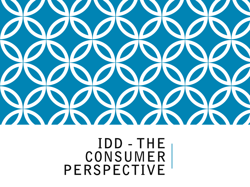

### $IDD - THE$ CONSUMER PERSPECTIVE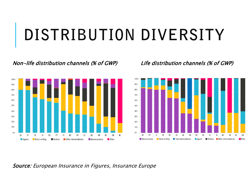## DISTRIBUTION DIVERSITY

#### Non-life distribution channels (% of GWP) Life distribution channels (% of GWP)





#### Source: European Insurance in Figures, Insurance Europe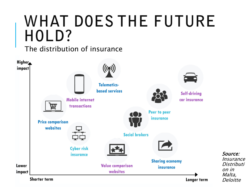## **WHAT DOES THE FUTURE** HOLD?

The distribution of insurance

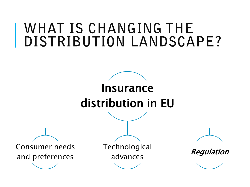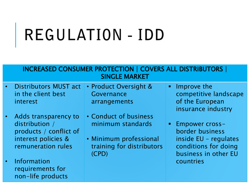# REGULATION - IDD

#### INCREASED CONSUMER PROTECTION | COVERS ALL DISTRIBUTORS | SINGLE MARKET

- Distributors MUST act in the client best interest
	- Adds transparency to distribution / products / conflict of interest policies & remuneration rules
- Information requirements for non-life products
- Product Oversight & Governance arrangements
- Conduct of business minimum standards
- Minimum professional training for distributors (CPD)
- **Improve the** competitive landscape of the European insurance industry
- **Empower cross**border business inside EU – regulates conditions for doing business in other EU countries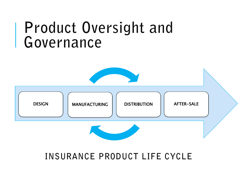### Product Oversight and Governance



### INSURANCE PRODUCT LIFE CYCLE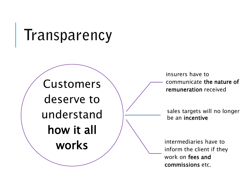## Transparency

Customers deserve to understand how it all works

insurers have to communicate the nature of remuneration received

be an incentive

intermediaries have to inform the client if they work on fees and sales targets will no longer<br>be an **incentive**<br>intermediaries have to<br>inform the client if they<br>work on **fees and**<br>**commissions** etc.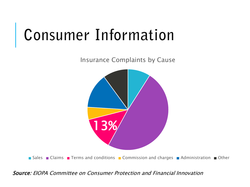## **Consumer Information**

Insurance Complaints by Cause



Source: EIOPA Committee on Consumer Protection and Financial Innovation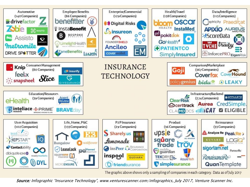

Source: Infographic "Insurance Technology", www.venturescanner.com/infographics, July 2017, Venture Scanner Inc.